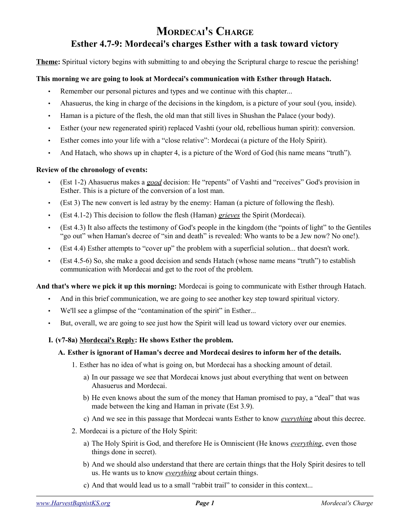# **MORDECAI'S CHARGE Esther 4.7-9: Mordecai's charges Esther with a task toward victory**

**Theme:** Spiritual victory begins with submitting to and obeying the Scriptural charge to rescue the perishing!

# **This morning we are going to look at Mordecai's communication with Esther through Hatach.**

- Remember our personal pictures and types and we continue with this chapter...
- Ahasuerus, the king in charge of the decisions in the kingdom, is a picture of your soul (you, inside).
- Haman is a picture of the flesh, the old man that still lives in Shushan the Palace (your body).
- Esther (your new regenerated spirit) replaced Vashti (your old, rebellious human spirit): conversion.
- Esther comes into your life with a "close relative": Mordecai (a picture of the Holy Spirit).
- And Hatach, who shows up in chapter 4, is a picture of the Word of God (his name means "truth").

#### **Review of the chronology of events:**

- (Est 1-2) Ahasuerus makes a *good* decision: He "repents" of Vashti and "receives" God's provision in Esther. This is a picture of the conversion of a lost man.
- (Est 3) The new convert is led astray by the enemy: Haman (a picture of following the flesh).
- (Est 4.1-2) This decision to follow the flesh (Haman) *grieves* the Spirit (Mordecai).
- (Est 4.3) It also affects the testimony of God's people in the kingdom (the "points of light" to the Gentiles "go out" when Haman's decree of "sin and death" is revealed: Who wants to be a Jew now? No one!).
- (Est 4.4) Esther attempts to "cover up" the problem with a superficial solution... that doesn't work.
- (Est 4.5-6) So, she make a good decision and sends Hatach (whose name means "truth") to establish communication with Mordecai and get to the root of the problem.

**And that's where we pick it up this morning:** Mordecai is going to communicate with Esther through Hatach.

- And in this brief communication, we are going to see another key step toward spiritual victory.
- We'll see a glimpse of the "contamination of the spirit" in Esther...
- But, overall, we are going to see just how the Spirit will lead us toward victory over our enemies.

#### **I. (v7-8a) Mordecai's Reply: He shows Esther the problem.**

#### **A. Esther is ignorant of Haman's decree and Mordecai desires to inform her of the details.**

- 1. Esther has no idea of what is going on, but Mordecai has a shocking amount of detail.
	- a) In our passage we see that Mordecai knows just about everything that went on between Ahasuerus and Mordecai.
	- b) He even knows about the sum of the money that Haman promised to pay, a "deal" that was made between the king and Haman in private (Est 3.9).
	- c) And we see in this passage that Mordecai wants Esther to know *everything* about this decree.
- 2. Mordecai is a picture of the Holy Spirit:
	- a) The Holy Spirit is God, and therefore He is Omniscient (He knows *everything*, even those things done in secret).
	- b) And we should also understand that there are certain things that the Holy Spirit desires to tell us. He wants us to know *everything* about certain things.
	- c) And that would lead us to a small "rabbit trail" to consider in this context...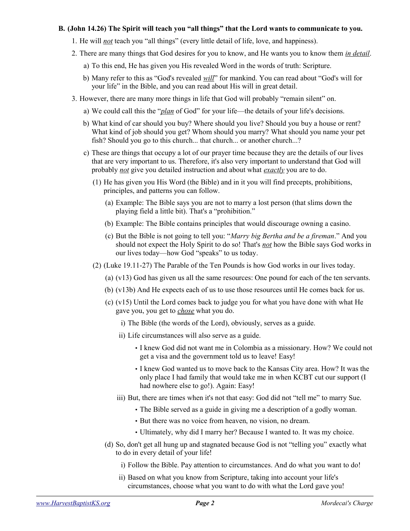#### **B. (John 14.26) The Spirit will teach you "all things" that the Lord wants to communicate to you.**

- 1. He will *not* teach you "all things" (every little detail of life, love, and happiness).
- 2. There are many things that God desires for you to know, and He wants you to know them *in detail*.
	- a) To this end, He has given you His revealed Word in the words of truth: Scripture.
	- b) Many refer to this as "God's revealed *will*" for mankind. You can read about "God's will for your life" in the Bible, and you can read about His will in great detail.
- 3. However, there are many more things in life that God will probably "remain silent" on.
	- a) We could call this the "*plan* of God" for your life—the details of your life's decisions.
	- b) What kind of car should you buy? Where should you live? Should you buy a house or rent? What kind of job should you get? Whom should you marry? What should you name your pet fish? Should you go to this church... that church... or another church...?
	- c) These are things that occupy a lot of our prayer time because they are the details of our lives that are very important to us. Therefore, it's also very important to understand that God will probably *not* give you detailed instruction and about what *exactly* you are to do.
		- (1) He has given you His Word (the Bible) and in it you will find precepts, prohibitions, principles, and patterns you can follow.
			- (a) Example: The Bible says you are not to marry a lost person (that slims down the playing field a little bit). That's a "prohibition."
			- (b) Example: The Bible contains principles that would discourage owning a casino.
			- (c) But the Bible is not going to tell you: "*Marry big Bertha and be a fireman*." And you should not expect the Holy Spirit to do so! That's *not* how the Bible says God works in our lives today—how God "speaks" to us today.
		- (2) (Luke 19.11-27) The Parable of the Ten Pounds is how God works in our lives today.
			- (a) (v13) God has given us all the same resources: One pound for each of the ten servants.
			- (b) (v13b) And He expects each of us to use those resources until He comes back for us.
			- (c) (v15) Until the Lord comes back to judge you for what you have done with what He gave you, you get to *chose* what you do.
				- i) The Bible (the words of the Lord), obviously, serves as a guide.
				- ii) Life circumstances will also serve as a guide.
					- I knew God did not want me in Colombia as a missionary. How? We could not get a visa and the government told us to leave! Easy!
					- I knew God wanted us to move back to the Kansas City area. How? It was the only place I had family that would take me in when KCBT cut our support (I had nowhere else to go!). Again: Easy!
				- iii) But, there are times when it's not that easy: God did not "tell me" to marry Sue.
					- The Bible served as a guide in giving me a description of a godly woman.
					- But there was no voice from heaven, no vision, no dream.
					- Ultimately, why did I marry her? Because I wanted to. It was my choice.
			- (d) So, don't get all hung up and stagnated because God is not "telling you" exactly what to do in every detail of your life!
				- i) Follow the Bible. Pay attention to circumstances. And do what you want to do!
				- ii) Based on what you know from Scripture, taking into account your life's circumstances, choose what you want to do with what the Lord gave you!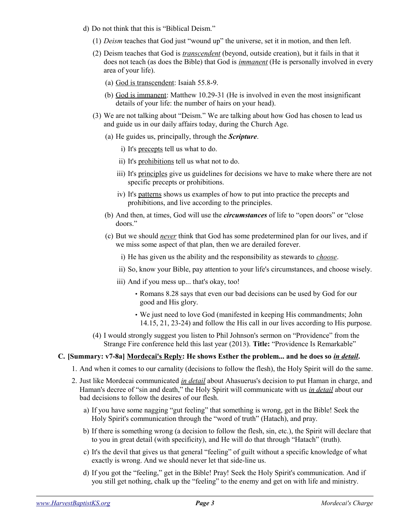- d) Do not think that this is "Biblical Deism."
	- (1) *Deism* teaches that God just "wound up" the universe, set it in motion, and then left.
	- (2) Deism teaches that God is *transcendent* (beyond, outside creation), but it fails in that it does not teach (as does the Bible) that God is *immanent* (He is personally involved in every area of your life).
		- (a) God is transcendent: Isaiah 55.8-9.
		- (b) God is immanent: Matthew 10.29-31 (He is involved in even the most insignificant details of your life: the number of hairs on your head).
	- (3) We are not talking about "Deism." We are talking about how God has chosen to lead us and guide us in our daily affairs today, during the Church Age.
		- (a) He guides us, principally, through the *Scripture*.
			- i) It's precepts tell us what to do.
			- ii) It's prohibitions tell us what not to do.
			- iii) It's principles give us guidelines for decisions we have to make where there are not specific precepts or prohibitions.
			- iv) It's patterns shows us examples of how to put into practice the precepts and prohibitions, and live according to the principles.
		- (b) And then, at times, God will use the *circumstances* of life to "open doors" or "close doors."
		- (c) But we should *never* think that God has some predetermined plan for our lives, and if we miss some aspect of that plan, then we are derailed forever.
			- i) He has given us the ability and the responsibility as stewards to *choose*.
			- ii) So, know your Bible, pay attention to your life's circumstances, and choose wisely.
			- iii) And if you mess up... that's okay, too!
				- Romans 8.28 says that even our bad decisions can be used by God for our good and His glory.
				- We just need to love God (manifested in keeping His commandments; John 14.15, 21, 23-24) and follow the His call in our lives according to His purpose.
	- (4) I would strongly suggest you listen to Phil Johnson's sermon on "Providence" from the Strange Fire conference held this last year (2013). **Title:** "Providence Is Remarkable"

# **C. [Summary: v7-8a] Mordecai's Reply: He shows Esther the problem... and he does so** *in detail***.**

- 1. And when it comes to our carnality (decisions to follow the flesh), the Holy Spirit will do the same.
- 2. Just like Mordecai communicated *in detail* about Ahasuerus's decision to put Haman in charge, and Haman's decree of "sin and death," the Holy Spirit will communicate with us *in detail* about our bad decisions to follow the desires of our flesh.
	- a) If you have some nagging "gut feeling" that something is wrong, get in the Bible! Seek the Holy Spirit's communication through the "word of truth" (Hatach), and pray.
	- b) If there is something wrong (a decision to follow the flesh, sin, etc.), the Spirit will declare that to you in great detail (with specificity), and He will do that through "Hatach" (truth).
	- c) It's the devil that gives us that general "feeling" of guilt without a specific knowledge of what exactly is wrong. And we should never let that side-line us.
	- d) If you got the "feeling," get in the Bible! Pray! Seek the Holy Spirit's communication. And if you still get nothing, chalk up the "feeling" to the enemy and get on with life and ministry.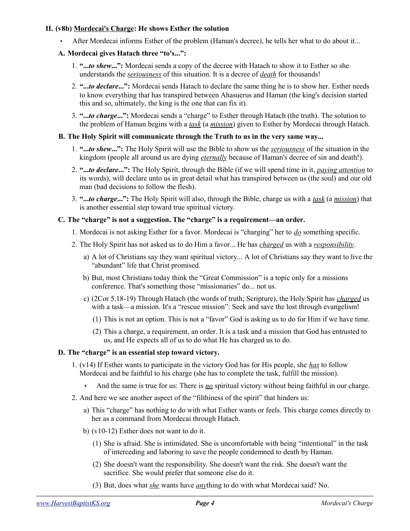## **II. (v8b) Mordecai's Charge: He shows Esther the solution**

• After Mordecai informs Esther of the problem (Haman's decree), he tells her what to do about it...

# **A. Mordecai gives Hatach three "to's...":**

- 1. **"...***to shew***...":** Mordecai sends a copy of the decree with Hatach to show it to Esther so she understands the *seriousness* of this situation. It is a decree of *death* for thousands!
- 2. **"...***to declare***...":** Mordecai sends Hatach to declare the same thing he is to show her. Esther needs to know everything that has transpired between Ahasuerus and Haman (the king's decision started this and so, ultimately, the king is the one that can fix it).
- 3. **"...***to charge***...":** Mordecai sends a "charge" to Esther through Hatach (the truth). The solution to the problem of Haman begins with a *task* (a *mission*) given to Esther by Mordecai through Hatach.

# **B. The Holy Spirit will communicate through the Truth to us in the very same way...**

- 1. **"...***to shew***...":** The Holy Spirit will use the Bible to show us the *seriousness* of the situation in the kingdom (people all around us are dying *eternally* because of Haman's decree of sin and death!).
- 2. **"...***to declare***...":** The Holy Spirit, through the Bible (if we will spend time in it, *paying attention* to its words), will declare unto us in great detail what has transpired between us (the soul) and our old man (bad decisions to follow the flesh).
- 3. **"...***to charge***...":** The Holy Spirit will also, through the Bible, charge us with a *task* (a *mission*) that is another essential step toward true spiritual victory.

# **C. The "charge" is not a suggestion. The "charge" is a requirement—an order.**

- 1. Mordecai is not asking Esther for a favor. Mordecai is "charging" her to *do* something specific.
- 2. The Holy Spirit has not asked us to do Him a favor... He has *charged* us with a *responsibility*.
	- a) A lot of Christians say they want spiritual victory... A lot of Christians say they want to live the "abundant" life that Christ promised.
	- b) But, most Christians today think the "Great Commission" is a topic only for a missions conference. That's something those "missionaries" do... not us.
	- c) (2Cor 5.18-19) Through Hatach (the words of truth; Scripture), the Holy Spirit has *charged* us with a task—a mission. It's a "rescue mission": Seek and save the lost through evangelism!
		- (1) This is not an option. This is not a "favor" God is asking us to do for Him if we have time.
		- (2) This a charge, a requirement, an order. It is a task and a mission that God has entrusted to us, and He expects all of us to do what He has charged us to do.

#### **D. The "charge" is an essential step toward victory.**

- 1. (v14) If Esther wants to participate in the victory God has for His people, she *has* to follow Mordecai and be faithful to his charge (she has to complete the task, fulfill the mission).
	- And the same is true for us: There is *no* spiritual victory without being faithful in our charge.
- 2. And here we see another aspect of the "filthiness of the spirit" that hinders us:
	- a) This "charge" has nothing to do with what Esther wants or feels. This charge comes directly to her as a command from Mordecai through Hatach.
	- b) (v10-12) Esther does not want to do it.
		- (1) She is afraid. She is intimidated. She is uncomfortable with being "intentional" in the task of interceding and laboring to save the people condemned to death by Haman.
		- (2) She doesn't want the responsibility. She doesn't want the risk. She doesn't want the sacrifice. She would prefer that someone else do it.
		- (3) But, does what *she* wants have *any*thing to do with what Mordecai said? No.